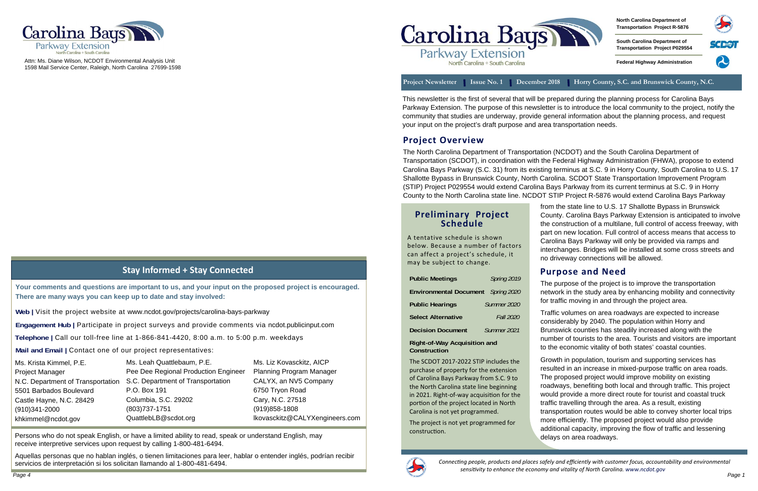### **Preliminary Project Schedule**

A tentative schedule is shown below. Because a number of factors can affect a project's schedule, it may be subject to change.

| <b>Public Meetings</b>        | Spring 2019      |
|-------------------------------|------------------|
| <b>Environmental Document</b> | Spring 2020      |
| <b>Public Hearings</b>        | Summer 2020      |
| <b>Select Alternative</b>     | <b>Fall 2020</b> |
| <b>Decision Document</b>      | Summer 2021      |

**Right-of-Way Acquisition and Construction** 

The SCDOT 2017‐2022 STIP includes the purchase of property for the extension of Carolina Bays Parkway from S.C. 9 to the North Carolina state line beginning in 2021. Right-of-way acquisition for the portion of the project located in North Carolina is not yet programmed.

The project is not yet programmed for construcƟon.



# **Stay Informed + Stay Connected**

**Telephone |** Call our toll-free line at 1-866-841-4420, 8:00 a.m. to 5:00 p.m. weekdays

**Web |** Visit the project website at www.ncdot.gov/projects/carolina-bays-parkway



Attn: Ms. Diane Wilson, NCDOT Environmental Analysis Unit 1598 Mail Service Center, Raleigh, North Carolina 27699-1598

#### **Project Overview**

The North Carolina Department of Transportation (NCDOT) and the South Carolina Department of Transportation (SCDOT), in coordination with the Federal Highway Administration (FHWA), propose to extend Carolina Bays Parkway (S.C. 31) from its existing terminus at S.C. 9 in Horry County, South Carolina to U.S. 17 Shallotte Bypass in Brunswick County, North Carolina. SCDOT State Transportation Improvement Program (STIP) Project P029554 would extend Carolina Bays Parkway from its current terminus at S.C. 9 in Horry County to the North Carolina state line. NCDOT STIP Project R-5876 would extend Carolina Bays Parkway

attlebaum, P.E. gional Production Engineer nent of Transportation C. 29202 51 QuattlebLB@scdot.org Ms. Liz Kovasckitz, AICP This newsletter is the first of several that will be prepared during the planning process for Carolina Bays Parkway Extension. The purpose of this newsletter is to introduce the local community to the project, notify the community that studies are underway, provide general information about the planning process, and request your input on the project's draft purpose and area transportation needs.

**North Carolina Department of Transportation Project R-5876** 

**South Carolina Department of Transportation Project P029554** 

**Federal Highway Administration** 



Project Newsletter Issue No. 1 December 2018 Horry County, S.C. and Brunswick County, N.C.

# **Purpose and Need**

The purpose of the project is to improve the transportation network in the study area by enhancing mobility and connectivity for traffic moving in and through the project area.

Traffic volumes on area roadways are expected to increase considerably by 2040. The population within Horry and Brunswick counties has steadily increased along with the number of tourists to the area. Tourists and visitors are important to the economic vitality of both states' coastal counties.

Growth in population, tourism and supporting services has resulted in an increase in mixed-purpose traffic on area roads. The proposed project would improve mobility on existing roadways, benefiting both local and through traffic. This project would provide a more direct route for tourist and coastal truck traffic travelling through the area. As a result, existing transportation routes would be able to convey shorter local trips more efficiently. The proposed project would also provide additional capacity, improving the flow of traffic and lessening delays on area roadways.

| Ms. Krista Kimmel, P.E.           | Ms. Leah Qua      |
|-----------------------------------|-------------------|
| <b>Project Manager</b>            | Pee Dee Regi      |
| N.C. Department of Transportation | S.C. Departme     |
| 5501 Barbados Boulevard           | P.O. Box 191      |
| Castle Hayne, N.C. 28429          | Columbia, S.C     |
| (910)341-2000                     | $(803)737 - 175'$ |
| khkimmel@ncdot.gov                | QuattlebLB@s      |
|                                   |                   |

Planning Program Manager CALYX, an NV5 Company 6750 Tryon Road Cary, N.C. 27518 (919)858-1808 lkovasckitz@CALYXengineers.com

**Mail and Email |** Contact one of our project representatives:

Aquellas personas que no hablan inglés, o tienen limitaciones para leer, hablar o entender inglés, podrían recibir servicios de interpretación si los solicitan llamando al 1-800-481-6494.



**Engagement Hub |** Participate in project surveys and provide comments via ncdot.publicinput.com

**Your comments and questions are important to us, and your input on the proposed project is encouraged. There are many ways you can keep up to date and stay involved:** 

Persons who do not speak English, or have a limited ability to read, speak or understand English, may receive interpretive services upon request by calling 1-800-481-6494.

from the state line to U.S. 17 Shallotte Bypass in Brunswick County. Carolina Bays Parkway Extension is anticipated to involve the construction of a multilane, full control of access freeway, with part on new location. Full control of access means that access to Carolina Bays Parkway will only be provided via ramps and interchanges. Bridges will be installed at some cross streets and no driveway connections will be allowed.